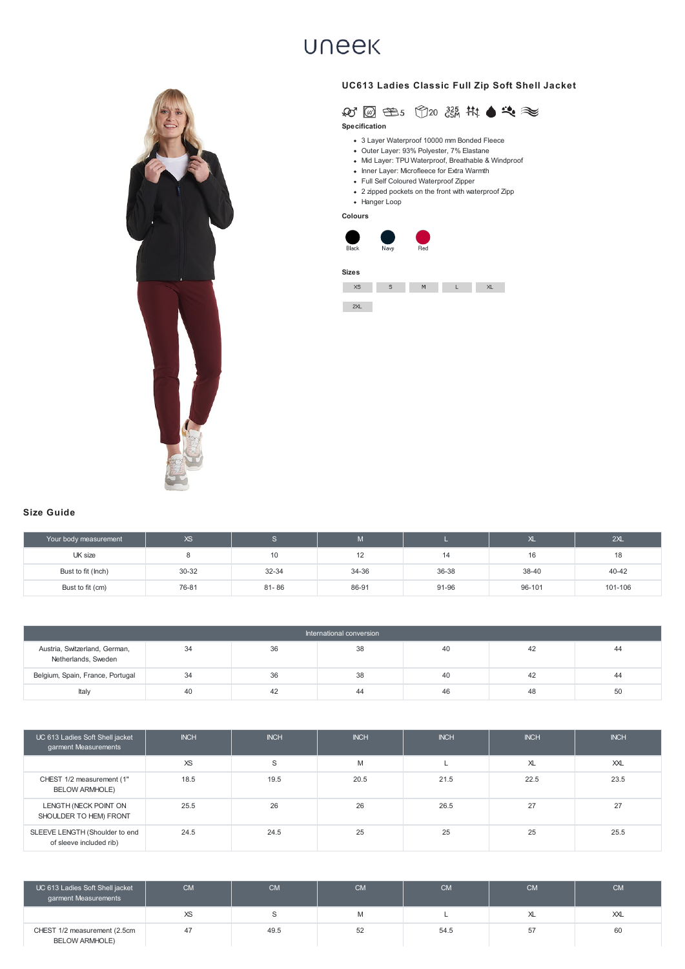- 3 Layer Waterproof 10000 mm Bonded Fleece
- Outer Layer: 93% Polyester, 7% Elastane
- Mid Layer: TPU Waterproof, Breathable & Windproof
- Inner Layer: Microfleece for Extra Warmth
- Full Self Coloured Waterproof Zipper
- 2 zipped pockets on the front with waterproof Zipp
- Hanger Loop

| Your body measurement | XS.   |           | $\mathbf{M}$ |       | ∼      | 2XL     |
|-----------------------|-------|-----------|--------------|-------|--------|---------|
| UK size               |       | 10        |              | 14    | 16     | 18      |
| Bust to fit (lnch)    | 30-32 | 32-34     | 34-36        | 36-38 | 38-40  | 40-42   |
| Bust to fit (cm)      | 76-81 | $81 - 86$ | 86-91        | 91-96 | 96-101 | 101-106 |

| International conversion                             |    |    |     |    |    |    |  |
|------------------------------------------------------|----|----|-----|----|----|----|--|
| Austria, Switzerland, German,<br>Netherlands, Sweden | 34 | 36 | 38  | 40 | 42 | 44 |  |
| Belgium, Spain, France, Portugal                     | 34 | 36 | 38  | 40 | 42 | 44 |  |
| Italy                                                | 40 | 42 | -44 | 46 | 48 | 50 |  |

| UC 613 Ladies Soft Shell jacket<br>garment Measurements   | <b>INCH</b> | <b>INCH</b> | <b>INCH</b> | <b>INCH</b> | <b>INCH</b> | <b>INCH</b> |
|-----------------------------------------------------------|-------------|-------------|-------------|-------------|-------------|-------------|
|                                                           | <b>XS</b>   | S           | M           |             | XL          | XXL         |
| CHEST 1/2 measurement (1"<br><b>BELOW ARMHOLE)</b>        | 18.5        | 19.5        | 20.5        | 21.5        | 22.5        | 23.5        |
| LENGTH (NECK POINT ON<br>SHOULDER TO HEM) FRONT           | 25.5        | 26          | 26          | 26.5        | 27          | 27          |
| SLEEVE LENGTH (Shoulder to end<br>of sleeve included rib) | 24.5        | 24.5        | 25          | 25          | 25          | 25.5        |

| UC 613 Ladies Soft Shell jacket<br>garment Measurements | <b>CM</b> | <b>CM</b> | <b>CM</b> | <b>CM</b> | <b>CM</b> | <b>CM</b>  |
|---------------------------------------------------------|-----------|-----------|-----------|-----------|-----------|------------|
|                                                         | <b>XS</b> |           | M         |           | ΧL        | $\chi\chi$ |
| CHEST 1/2 measurement (2.5cm<br><b>BELOW ARMHOLE)</b>   |           | 49.5      | 52        | 54.5      | 57        | 60         |

## **UNEEK**





**Specification**

**Colours**



**Sizes**





## **Size Guide**